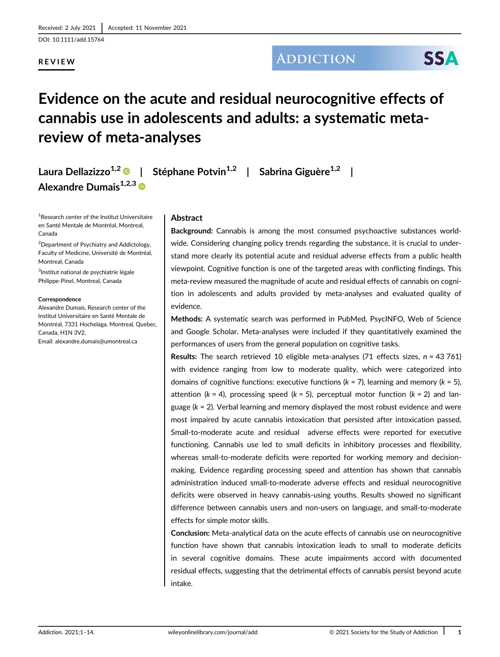DOI: 10.1111/add.15764

# REVIEW

**ADDICTION** 

# Evidence on the acute and residual neurocognitive effects of cannabis use in adolescents and adults: a systematic metareview of meta-analyses

Laura Dellazizzo<sup>1,2</sup> | Stéphane Potvin<sup>1,2</sup> | Sabrina Giguère<sup>1,2</sup> | Alexandre Dumais<sup>1,2,3</sup>

<sup>1</sup>Research center of the Institut Universitaire en Santé Mentale de Montréal, Montreal, Canada

<sup>2</sup>Department of Psychiatry and Addictology, Faculty of Medicine, Université de Montréal, Montreal, Canada

3 Institut national de psychiatrie légale Philippe-Pinel, Montreal, Canada

#### Correspondence

Alexandre Dumais, Research center of the Institut Universitaire en Santé Mentale de Montréal, 7331 Hochelaga. Montreal, Quebec, Canada, H1N 3V2. Email: alexandre.dumais@umontreal.ca

# Abstract

Background: Cannabis is among the most consumed psychoactive substances worldwide. Considering changing policy trends regarding the substance, it is crucial to understand more clearly its potential acute and residual adverse effects from a public health viewpoint. Cognitive function is one of the targeted areas with conflicting findings. This meta-review measured the magnitude of acute and residual effects of cannabis on cognition in adolescents and adults provided by meta-analyses and evaluated quality of evidence.

Methods: A systematic search was performed in PubMed, PsycINFO, Web of Science and Google Scholar. Meta-analyses were included if they quantitatively examined the performances of users from the general population on cognitive tasks.

**Results:** The search retrieved 10 eligible meta-analyses  $(71 \text{ effects sizes}, n = 43761)$ with evidence ranging from low to moderate quality, which were categorized into domains of cognitive functions: executive functions ( $k = 7$ ), learning and memory ( $k = 5$ ), attention ( $k = 4$ ), processing speed ( $k = 5$ ), perceptual motor function ( $k = 2$ ) and language ( $k = 2$ ). Verbal learning and memory displayed the most robust evidence and were most impaired by acute cannabis intoxication that persisted after intoxication passed. Small-to-moderate acute and residual adverse effects were reported for executive functioning. Cannabis use led to small deficits in inhibitory processes and flexibility, whereas small-to-moderate deficits were reported for working memory and decisionmaking. Evidence regarding processing speed and attention has shown that cannabis administration induced small-to-moderate adverse effects and residual neurocognitive deficits were observed in heavy cannabis-using youths. Results showed no significant difference between cannabis users and non-users on language, and small-to-moderate effects for simple motor skills.

Conclusion: Meta-analytical data on the acute effects of cannabis use on neurocognitive function have shown that cannabis intoxication leads to small to moderate deficits in several cognitive domains. These acute impairments accord with documented residual effects, suggesting that the detrimental effects of cannabis persist beyond acute intake.

**SSA**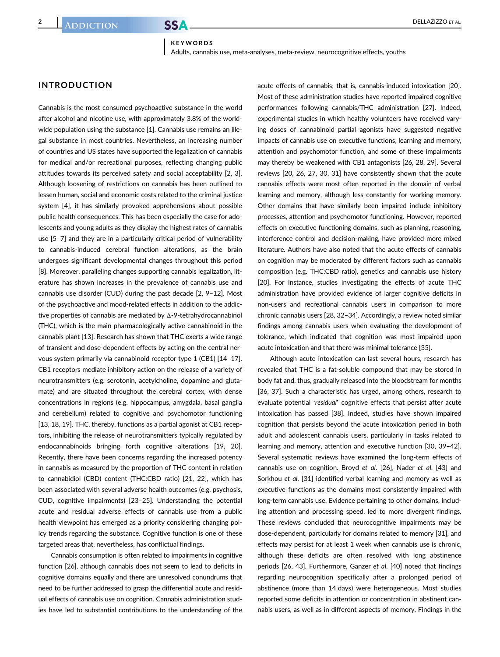#### KEYWORDS Adults, cannabis use, meta-analyses, meta-review, neurocognitive effects, youths

# INTRODUCTION

Cannabis is the most consumed psychoactive substance in the world after alcohol and nicotine use, with approximately 3.8% of the worldwide population using the substance [1]. Cannabis use remains an illegal substance in most countries. Nevertheless, an increasing number of countries and US states have supported the legalization of cannabis for medical and/or recreational purposes, reflecting changing public attitudes towards its perceived safety and social acceptability [2, 3]. Although loosening of restrictions on cannabis has been outlined to lessen human, social and economic costs related to the criminal justice system [4], it has similarly provoked apprehensions about possible public health consequences. This has been especially the case for adolescents and young adults as they display the highest rates of cannabis use [5–7] and they are in a particularly critical period of vulnerability to cannabis-induced cerebral function alterations, as the brain undergoes significant developmental changes throughout this period [8]. Moreover, paralleling changes supporting cannabis legalization, literature has shown increases in the prevalence of cannabis use and cannabis use disorder (CUD) during the past decade [2, 9–12]. Most of the psychoactive and mood-related effects in addition to the addictive properties of cannabis are mediated by Δ-9-tetrahydrocannabinol (THC), which is the main pharmacologically active cannabinoid in the cannabis plant [13]. Research has shown that THC exerts a wide range of transient and dose-dependent effects by acting on the central nervous system primarily via cannabinoid receptor type 1 (CB1) [14–17]. CB1 receptors mediate inhibitory action on the release of a variety of neurotransmitters (e.g. serotonin, acetylcholine, dopamine and glutamate) and are situated throughout the cerebral cortex, with dense concentrations in regions (e.g. hippocampus, amygdala, basal ganglia and cerebellum) related to cognitive and psychomotor functioning [13, 18, 19]. THC, thereby, functions as a partial agonist at CB1 receptors, inhibiting the release of neurotransmitters typically regulated by endocannabinoids bringing forth cognitive alterations [19, 20]. Recently, there have been concerns regarding the increased potency in cannabis as measured by the proportion of THC content in relation to cannabidiol (CBD) content (THC:CBD ratio) [21, 22], which has been associated with several adverse health outcomes (e.g. psychosis, CUD, cognitive impairments) [23–25]. Understanding the potential acute and residual adverse effects of cannabis use from a public health viewpoint has emerged as a priority considering changing policy trends regarding the substance. Cognitive function is one of these targeted areas that, nevertheless, has conflictual findings.

Cannabis consumption is often related to impairments in cognitive function [26], although cannabis does not seem to lead to deficits in cognitive domains equally and there are unresolved conundrums that need to be further addressed to grasp the differential acute and residual effects of cannabis use on cognition. Cannabis administration studies have led to substantial contributions to the understanding of the

acute effects of cannabis; that is, cannabis-induced intoxication [20]. Most of these administration studies have reported impaired cognitive performances following cannabis/THC administration [27]. Indeed, experimental studies in which healthy volunteers have received varying doses of cannabinoid partial agonists have suggested negative impacts of cannabis use on executive functions, learning and memory, attention and psychomotor function, and some of these impairments may thereby be weakened with CB1 antagonists [26, 28, 29]. Several reviews [20, 26, 27, 30, 31] have consistently shown that the acute cannabis effects were most often reported in the domain of verbal learning and memory, although less constantly for working memory. Other domains that have similarly been impaired include inhibitory processes, attention and psychomotor functioning. However, reported effects on executive functioning domains, such as planning, reasoning, interference control and decision-making, have provided more mixed literature. Authors have also noted that the acute effects of cannabis on cognition may be moderated by different factors such as cannabis composition (e.g. THC:CBD ratio), genetics and cannabis use history [20]. For instance, studies investigating the effects of acute THC administration have provided evidence of larger cognitive deficits in non-users and recreational cannabis users in comparison to more chronic cannabis users [28, 32–34]. Accordingly, a review noted similar findings among cannabis users when evaluating the development of tolerance, which indicated that cognition was most impaired upon acute intoxication and that there was minimal tolerance [35].

Although acute intoxication can last several hours, research has revealed that THC is a fat-soluble compound that may be stored in body fat and, thus, gradually released into the bloodstream for months [36, 37]. Such a characteristic has urged, among others, research to evaluate potential 'residual' cognitive effects that persist after acute intoxication has passed [38]. Indeed, studies have shown impaired cognition that persists beyond the acute intoxication period in both adult and adolescent cannabis users, particularly in tasks related to learning and memory, attention and executive function [30, 39–42]. Several systematic reviews have examined the long-term effects of cannabis use on cognition. Broyd et al. [26], Nader et al. [43] and Sorkhou et al. [31] identified verbal learning and memory as well as executive functions as the domains most consistently impaired with long-term cannabis use. Evidence pertaining to other domains, including attention and processing speed, led to more divergent findings. These reviews concluded that neurocognitive impairments may be dose-dependent, particularly for domains related to memory [31], and effects may persist for at least 1 week when cannabis use is chronic, although these deficits are often resolved with long abstinence periods [26, 43]. Furthermore, Ganzer et al. [40] noted that findings regarding neurocognition specifically after a prolonged period of abstinence (more than 14 days) were heterogeneous. Most studies reported some deficits in attention or concentration in abstinent cannabis users, as well as in different aspects of memory. Findings in the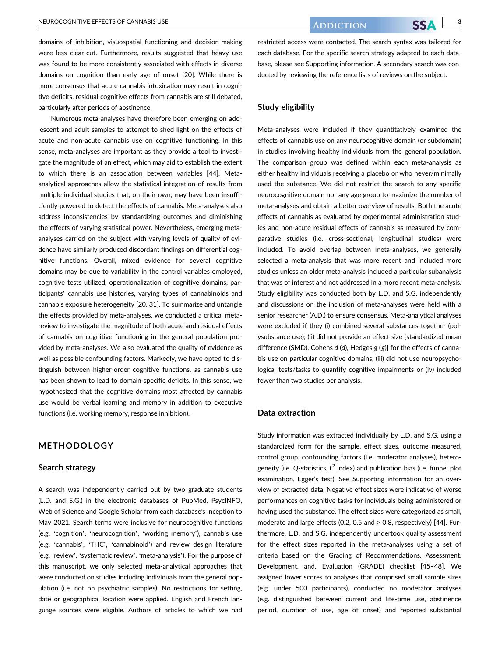domains of inhibition, visuospatial functioning and decision-making were less clear-cut. Furthermore, results suggested that heavy use was found to be more consistently associated with effects in diverse domains on cognition than early age of onset [20]. While there is more consensus that acute cannabis intoxication may result in cognitive deficits, residual cognitive effects from cannabis are still debated, particularly after periods of abstinence.

Numerous meta-analyses have therefore been emerging on adolescent and adult samples to attempt to shed light on the effects of acute and non-acute cannabis use on cognitive functioning. In this sense, meta-analyses are important as they provide a tool to investigate the magnitude of an effect, which may aid to establish the extent to which there is an association between variables [44]. Metaanalytical approaches allow the statistical integration of results from multiple individual studies that, on their own, may have been insufficiently powered to detect the effects of cannabis. Meta-analyses also address inconsistencies by standardizing outcomes and diminishing the effects of varying statistical power. Nevertheless, emerging metaanalyses carried on the subject with varying levels of quality of evidence have similarly produced discordant findings on differential cognitive functions. Overall, mixed evidence for several cognitive domains may be due to variability in the control variables employed, cognitive tests utilized, operationalization of cognitive domains, participants' cannabis use histories, varying types of cannabinoids and cannabis exposure heterogeneity [20, 31]. To summarize and untangle the effects provided by meta-analyses, we conducted a critical metareview to investigate the magnitude of both acute and residual effects of cannabis on cognitive functioning in the general population provided by meta-analyses. We also evaluated the quality of evidence as well as possible confounding factors. Markedly, we have opted to distinguish between higher-order cognitive functions, as cannabis use has been shown to lead to domain-specific deficits. In this sense, we hypothesized that the cognitive domains most affected by cannabis use would be verbal learning and memory in addition to executive functions (i.e. working memory, response inhibition).

# METHODOLOGY

#### Search strategy

A search was independently carried out by two graduate students (L.D. and S.G.) in the electronic databases of PubMed, PsycINFO, Web of Science and Google Scholar from each database's inception to May 2021. Search terms were inclusive for neurocognitive functions (e.g. 'cognition', 'neurocognition', 'working memory'), cannabis use (e.g. 'cannabis', 'THC', 'cannabinoid') and review design literature (e.g. 'review', 'systematic review', 'meta-analysis'). For the purpose of this manuscript, we only selected meta-analytical approaches that were conducted on studies including individuals from the general population (i.e. not on psychiatric samples). No restrictions for setting, date or geographical location were applied. English and French language sources were eligible. Authors of articles to which we had

restricted access were contacted. The search syntax was tailored for each database. For the specific search strategy adapted to each database, please see Supporting information. A secondary search was conducted by reviewing the reference lists of reviews on the subject.

# Study eligibility

Meta-analyses were included if they quantitatively examined the effects of cannabis use on any neurocognitive domain (or subdomain) in studies involving healthy individuals from the general population. The comparison group was defined within each meta-analysis as either healthy individuals receiving a placebo or who never/minimally used the substance. We did not restrict the search to any specific neurocognitive domain nor any age group to maximize the number of meta-analyses and obtain a better overview of results. Both the acute effects of cannabis as evaluated by experimental administration studies and non-acute residual effects of cannabis as measured by comparative studies (i.e. cross-sectional, longitudinal studies) were included. To avoid overlap between meta-analyses, we generally selected a meta-analysis that was more recent and included more studies unless an older meta-analysis included a particular subanalysis that was of interest and not addressed in a more recent meta-analysis. Study eligibility was conducted both by L.D. and S.G. independently and discussions on the inclusion of meta-analyses were held with a senior researcher (A.D.) to ensure consensus. Meta-analytical analyses were excluded if they (i) combined several substances together (polysubstance use); (ii) did not provide an effect size [standardized mean difference (SMD), Cohens d (d), Hedges  $g$  (g)] for the effects of cannabis use on particular cognitive domains, (iii) did not use neuropsychological tests/tasks to quantify cognitive impairments or (iv) included fewer than two studies per analysis.

#### Data extraction

Study information was extracted individually by L.D. and S.G. using a standardized form for the sample, effect sizes, outcome measured, control group, confounding factors (i.e. moderator analyses), heterogeneity (i.e. Q-statistics,  $l^2$  index) and publication bias (i.e. funnel plot examination, Egger's test). See Supporting information for an overview of extracted data. Negative effect sizes were indicative of worse performances on cognitive tasks for individuals being administered or having used the substance. The effect sizes were categorized as small, moderate and large effects (0.2, 0.5 and > 0.8, respectively) [44]. Furthermore, L.D. and S.G. independently undertook quality assessment for the effect sizes reported in the meta-analyses using a set of criteria based on the Grading of Recommendations, Assessment, Development, and. Evaluation (GRADE) checklist [45–48]. We assigned lower scores to analyses that comprised small sample sizes (e.g. under 500 participants), conducted no moderator analyses (e.g. distinguished between current and life-time use, abstinence period, duration of use, age of onset) and reported substantial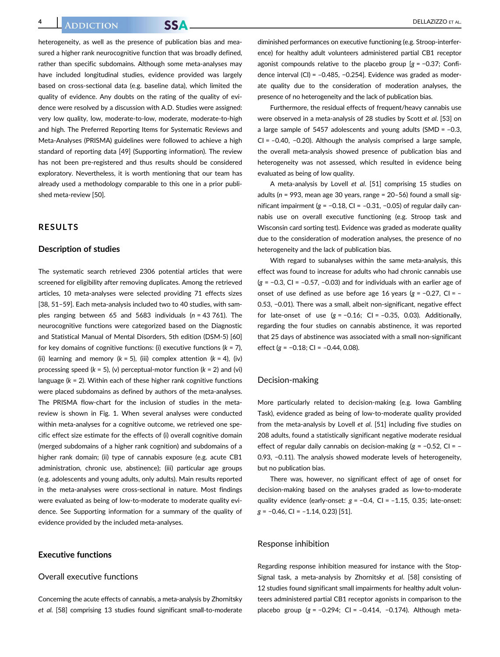heterogeneity, as well as the presence of publication bias and measured a higher rank neurocognitive function that was broadly defined, rather than specific subdomains. Although some meta-analyses may have included longitudinal studies, evidence provided was largely based on cross-sectional data (e.g. baseline data), which limited the quality of evidence. Any doubts on the rating of the quality of evidence were resolved by a discussion with A.D. Studies were assigned: very low quality, low, moderate-to-low, moderate, moderate-to-high and high. The Preferred Reporting Items for Systematic Reviews and Meta-Analyses (PRISMA) guidelines were followed to achieve a high standard of reporting data [49] (Supporting information). The review has not been pre-registered and thus results should be considered exploratory. Nevertheless, it is worth mentioning that our team has already used a methodology comparable to this one in a prior published meta-review [50].

# RESULTS

# Description of studies

The systematic search retrieved 2306 potential articles that were screened for eligibility after removing duplicates. Among the retrieved articles, 10 meta-analyses were selected providing 71 effects sizes [38, 51–59]. Each meta-analysis included two to 40 studies, with samples ranging between 65 and 5683 individuals ( $n = 43,761$ ). The neurocognitive functions were categorized based on the Diagnostic and Statistical Manual of Mental Disorders, 5th edition (DSM-5) [60] for key domains of cognitive functions: (i) executive functions ( $k = 7$ ), (ii) learning and memory ( $k = 5$ ), (iii) complex attention ( $k = 4$ ), (iv) processing speed ( $k = 5$ ), (v) perceptual-motor function ( $k = 2$ ) and (vi) language ( $k = 2$ ). Within each of these higher rank cognitive functions were placed subdomains as defined by authors of the meta-analyses. The PRISMA flow-chart for the inclusion of studies in the metareview is shown in Fig. 1. When several analyses were conducted within meta-analyses for a cognitive outcome, we retrieved one specific effect size estimate for the effects of (i) overall cognitive domain (merged subdomains of a higher rank cognition) and subdomains of a higher rank domain; (ii) type of cannabis exposure (e.g. acute CB1 administration, chronic use, abstinence); (iii) particular age groups (e.g. adolescents and young adults, only adults). Main results reported in the meta-analyses were cross-sectional in nature. Most findings were evaluated as being of low-to-moderate to moderate quality evidence. See Supporting information for a summary of the quality of evidence provided by the included meta-analyses.

# Executive functions

# Overall executive functions

Concerning the acute effects of cannabis, a meta-analysis by Zhornitsky et al. [58] comprising 13 studies found significant small-to-moderate

diminished performances on executive functioning (e.g. Stroop-interference) for healthy adult volunteers administered partial CB1 receptor agonist compounds relative to the placebo group [g = −0.37; Confidence interval (CI) = –0.485, −0.254]. Evidence was graded as moderate quality due to the consideration of moderation analyses, the presence of no heterogeneity and the lack of publication bias.

Furthermore, the residual effects of frequent/heavy cannabis use were observed in a meta-analysis of 28 studies by Scott et al. [53] on a large sample of 5457 adolescents and young adults (SMD =  $-0.3$ , CI = –0.40, −0.20). Although the analysis comprised a large sample, the overall meta-analysis showed presence of publication bias and heterogeneity was not assessed, which resulted in evidence being evaluated as being of low quality.

A meta-analysis by Lovell et al. [51] comprising 15 studies on adults ( $n = 993$ , mean age 30 years, range = 20-56) found a small significant impairment ( $g = -0.18$ , CI = -0.31, -0.05) of regular daily cannabis use on overall executive functioning (e.g. Stroop task and Wisconsin card sorting test). Evidence was graded as moderate quality due to the consideration of moderation analyses, the presence of no heterogeneity and the lack of publication bias.

With regard to subanalyses within the same meta-analysis, this effect was found to increase for adults who had chronic cannabis use  $(g = -0.3, C1 = -0.57, -0.03)$  and for individuals with an earlier age of onset of use defined as use before age 16 years (g = −0.27, CI = – 0.53, −0.01). There was a small, albeit non-significant, negative effect for late-onset of use  $(g = -0.16; C = -0.35, 0.03)$ . Additionally, regarding the four studies on cannabis abstinence, it was reported that 25 days of abstinence was associated with a small non-significant effect ( $g = -0.18$ ; CI =  $-0.44$ , 0.08).

#### Decision-making

More particularly related to decision-making (e.g. Iowa Gambling Task), evidence graded as being of low-to-moderate quality provided from the meta-analysis by Lovell et al. [51] including five studies on 208 adults, found a statistically significant negative moderate residual effect of regular daily cannabis on decision-making (g = −0.52, CI = – 0.93, −0.11). The analysis showed moderate levels of heterogeneity, but no publication bias.

There was, however, no significant effect of age of onset for decision-making based on the analyses graded as low-to-moderate quality evidence (early-onset:  $g = -0.4$ , CI = -1.15, 0.35; late-onset:  $g = -0.46$ , CI =  $-1.14$ , 0.23) [51].

#### Response inhibition

Regarding response inhibition measured for instance with the Stop-Signal task, a meta-analysis by Zhornitsky et al. [58] consisting of 12 studies found significant small impairments for healthy adult volunteers administered partial CB1 receptor agonists in comparison to the placebo group (g = −0.294; CI = –0.414, −0.174). Although meta-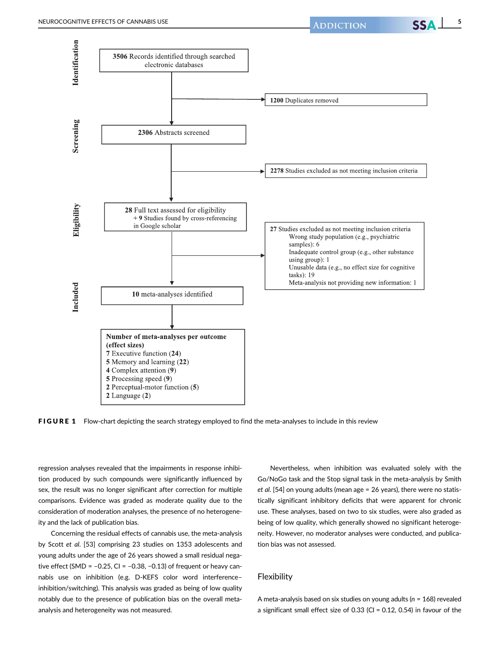

FIGURE 1 Flow-chart depicting the search strategy employed to find the meta-analyses to include in this review

regression analyses revealed that the impairments in response inhibition produced by such compounds were significantly influenced by sex, the result was no longer significant after correction for multiple comparisons. Evidence was graded as moderate quality due to the consideration of moderation analyses, the presence of no heterogeneity and the lack of publication bias.

Concerning the residual effects of cannabis use, the meta-analysis by Scott et al. [53] comprising 23 studies on 1353 adolescents and young adults under the age of 26 years showed a small residual negative effect (SMD =  $-0.25$ , CI =  $-0.38$ ,  $-0.13$ ) of frequent or heavy cannabis use on inhibition (e.g. D-KEFS color word interference– inhibition/switching). This analysis was graded as being of low quality notably due to the presence of publication bias on the overall metaanalysis and heterogeneity was not measured.

Nevertheless, when inhibition was evaluated solely with the Go/NoGo task and the Stop signal task in the meta-analysis by Smith et al. [54] on young adults (mean age = 26 years), there were no statistically significant inhibitory deficits that were apparent for chronic use. These analyses, based on two to six studies, were also graded as being of low quality, which generally showed no significant heterogeneity. However, no moderator analyses were conducted, and publication bias was not assessed.

## Flexibility

A meta-analysis based on six studies on young adults ( $n = 168$ ) revealed a significant small effect size of 0.33 (CI = 0.12, 0.54) in favour of the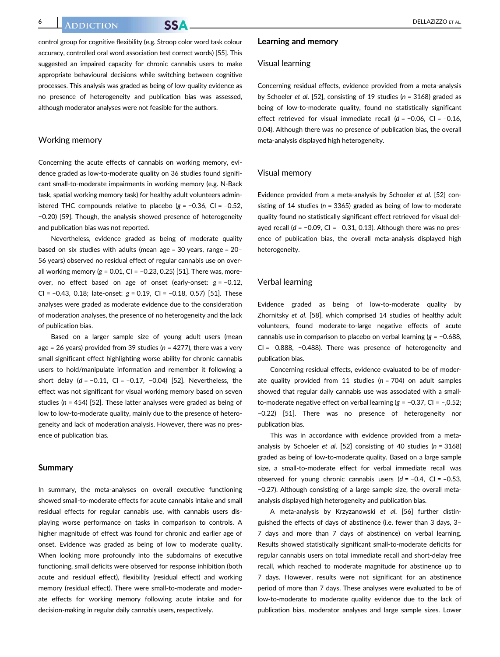control group for cognitive flexibility (e.g. Stroop color word task colour accuracy, controlled oral word association test correct words) [55]. This suggested an impaired capacity for chronic cannabis users to make appropriate behavioural decisions while switching between cognitive processes. This analysis was graded as being of low-quality evidence as no presence of heterogeneity and publication bias was assessed, although moderator analyses were not feasible for the authors.

# Working memory

Concerning the acute effects of cannabis on working memory, evidence graded as low-to-moderate quality on 36 studies found significant small-to-moderate impairments in working memory (e.g. N-Back task, spatial working memory task) for healthy adult volunteers administered THC compounds relative to placebo  $(g = -0.36, C = -0.52,$ −0.20) [59]. Though, the analysis showed presence of heterogeneity and publication bias was not reported.

Nevertheless, evidence graded as being of moderate quality based on six studies with adults (mean age = 30 years, range = 20– 56 years) observed no residual effect of regular cannabis use on overall working memory ( $g = 0.01$ , CI = -0.23, 0.25) [51]. There was, moreover, no effect based on age of onset (early-onset:  $g = -0.12$ , CI =  $-0.43$ , 0.18; late-onset:  $g = 0.19$ , CI =  $-0.18$ , 0.57) [51]. These analyses were graded as moderate evidence due to the consideration of moderation analyses, the presence of no heterogeneity and the lack of publication bias.

Based on a larger sample size of young adult users (mean age = 26 years) provided from 39 studies ( $n = 4277$ ), there was a very small significant effect highlighting worse ability for chronic cannabis users to hold/manipulate information and remember it following a short delay (d = −0.11, CI = –0.17, −0.04) [52]. Nevertheless, the effect was not significant for visual working memory based on seven studies ( $n = 454$ ) [52]. These latter analyses were graded as being of low to low-to-moderate quality, mainly due to the presence of heterogeneity and lack of moderation analysis. However, there was no presence of publication bias.

#### Summary

In summary, the meta-analyses on overall executive functioning showed small-to-moderate effects for acute cannabis intake and small residual effects for regular cannabis use, with cannabis users displaying worse performance on tasks in comparison to controls. A higher magnitude of effect was found for chronic and earlier age of onset. Evidence was graded as being of low to moderate quality. When looking more profoundly into the subdomains of executive functioning, small deficits were observed for response inhibition (both acute and residual effect), flexibility (residual effect) and working memory (residual effect). There were small-to-moderate and moderate effects for working memory following acute intake and for decision-making in regular daily cannabis users, respectively.

## Learning and memory

#### Visual learning

Concerning residual effects, evidence provided from a meta-analysis by Schoeler et al. [52], consisting of 19 studies (n = 3168) graded as being of low-to-moderate quality, found no statistically significant effect retrieved for visual immediate recall (d = −0.06, CI = –0.16, 0.04). Although there was no presence of publication bias, the overall meta-analysis displayed high heterogeneity.

#### Visual memory

Evidence provided from a meta-analysis by Schoeler et al. [52] consisting of 14 studies ( $n = 3365$ ) graded as being of low-to-moderate quality found no statistically significant effect retrieved for visual delayed recall ( $d = -0.09$ , CI =  $-0.31$ , 0.13). Although there was no presence of publication bias, the overall meta-analysis displayed high heterogeneity.

# Verbal learning

Evidence graded as being of low-to-moderate quality by Zhornitsky et al. [58], which comprised 14 studies of healthy adult volunteers, found moderate-to-large negative effects of acute cannabis use in comparison to placebo on verbal learning (g = −0.688, CI = –0.888, −0.488). There was presence of heterogeneity and publication bias.

Concerning residual effects, evidence evaluated to be of moderate quality provided from 11 studies ( $n = 704$ ) on adult samples showed that regular daily cannabis use was associated with a smallto-moderate negative effect on verbal learning (g = −0.37, CI = –,0.52; −0.22) [51]. There was no presence of heterogeneity nor publication bias.

This was in accordance with evidence provided from a metaanalysis by Schoeler et al. [52] consisting of 40 studies (n = 3168) graded as being of low-to-moderate quality. Based on a large sample size, a small-to-moderate effect for verbal immediate recall was observed for young chronic cannabis users (d = −0.4, CI = –0.53, −0.27). Although consisting of a large sample size, the overall metaanalysis displayed high heterogeneity and publication bias.

A meta-analysis by Krzyzanowski et al. [56] further distinguished the effects of days of abstinence (i.e. fewer than 3 days, 3– 7 days and more than 7 days of abstinence) on verbal learning. Results showed statistically significant small-to-moderate deficits for regular cannabis users on total immediate recall and short-delay free recall, which reached to moderate magnitude for abstinence up to 7 days. However, results were not significant for an abstinence period of more than 7 days. These analyses were evaluated to be of low-to-moderate to moderate quality evidence due to the lack of publication bias, moderator analyses and large sample sizes. Lower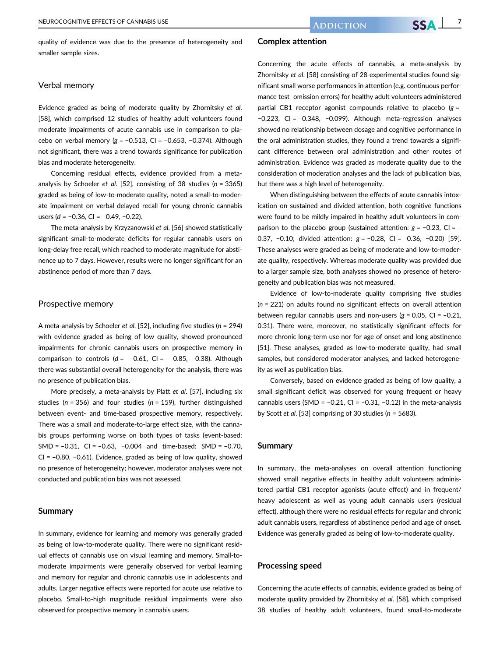quality of evidence was due to the presence of heterogeneity and smaller sample sizes.

# Verbal memory

Evidence graded as being of moderate quality by Zhornitsky et al. [58], which comprised 12 studies of healthy adult volunteers found moderate impairments of acute cannabis use in comparison to placebo on verbal memory ( $g = -0.513$ , CI = -0.653, -0.374). Although not significant, there was a trend towards significance for publication bias and moderate heterogeneity.

Concerning residual effects, evidence provided from a metaanalysis by Schoeler et al. [52], consisting of 38 studies ( $n = 3365$ ) graded as being of low-to-moderate quality, noted a small-to-moderate impairment on verbal delayed recall for young chronic cannabis users (d = −0.36, CI = –0.49, −0.22).

The meta-analysis by Krzyzanowski et al. [56] showed statistically significant small-to-moderate deficits for regular cannabis users on long-delay free recall, which reached to moderate magnitude for abstinence up to 7 days. However, results were no longer significant for an abstinence period of more than 7 days.

## Prospective memory

A meta-analysis by Schoeler et al. [52], including five studies ( $n = 294$ ) with evidence graded as being of low quality, showed pronounced impairments for chronic cannabis users on prospective memory in comparison to controls  $(d = -0.61, C = -0.85, -0.38)$ . Although there was substantial overall heterogeneity for the analysis, there was no presence of publication bias.

More precisely, a meta-analysis by Platt et al. [57], including six studies ( $n = 356$ ) and four studies ( $n = 159$ ), further distinguished between event- and time-based prospective memory, respectively. There was a small and moderate-to-large effect size, with the cannabis groups performing worse on both types of tasks (event-based: SMD = –0.31, CI = –0.63, −0.004 and time-based: SMD = –0.70, CI = –0.80, −0.61). Evidence, graded as being of low quality, showed no presence of heterogeneity; however, moderator analyses were not conducted and publication bias was not assessed.

#### Summary

In summary, evidence for learning and memory was generally graded as being of low-to-moderate quality. There were no significant residual effects of cannabis use on visual learning and memory. Small-tomoderate impairments were generally observed for verbal learning and memory for regular and chronic cannabis use in adolescents and adults. Larger negative effects were reported for acute use relative to placebo. Small-to-high magnitude residual impairments were also observed for prospective memory in cannabis users.

# Complex attention

Concerning the acute effects of cannabis, a meta-analysis by Zhornitsky et al. [58] consisting of 28 experimental studies found significant small worse performances in attention (e.g. continuous performance test–omission errors) for healthy adult volunteers administered partial CB1 receptor agonist compounds relative to placebo  $(g =$ −0.223, CI = –0.348, −0.099). Although meta-regression analyses showed no relationship between dosage and cognitive performance in the oral administration studies, they found a trend towards a significant difference between oral administration and other routes of administration. Evidence was graded as moderate quality due to the consideration of moderation analyses and the lack of publication bias, but there was a high level of heterogeneity.

When distinguishing between the effects of acute cannabis intoxication on sustained and divided attention, both cognitive functions were found to be mildly impaired in healthy adult volunteers in comparison to the placebo group (sustained attention:  $g = -0.23$ , CI = – 0.37, −0.10; divided attention: g = −0.28, CI = –0.36, −0.20) [59]. These analyses were graded as being of moderate and low-to-moderate quality, respectively. Whereas moderate quality was provided due to a larger sample size, both analyses showed no presence of heterogeneity and publication bias was not measured.

Evidence of low-to-moderate quality comprising five studies  $(n = 221)$  on adults found no significant effects on overall attention between regular cannabis users and non-users ( $g = 0.05$ , CI = -0.21, 0.31). There were, moreover, no statistically significant effects for more chronic long-term use nor for age of onset and long abstinence [51]. These analyses, graded as low-to-moderate quality, had small samples, but considered moderator analyses, and lacked heterogeneity as well as publication bias.

Conversely, based on evidence graded as being of low quality, a small significant deficit was observed for young frequent or heavy cannabis users (SMD =  $-0.21$ , CI =  $-0.31$ ,  $-0.12$ ) in the meta-analysis by Scott et al. [53] comprising of 30 studies (n = 5683).

#### Summary

In summary, the meta-analyses on overall attention functioning showed small negative effects in healthy adult volunteers administered partial CB1 receptor agonists (acute effect) and in frequent/ heavy adolescent as well as young adult cannabis users (residual effect), although there were no residual effects for regular and chronic adult cannabis users, regardless of abstinence period and age of onset. Evidence was generally graded as being of low-to-moderate quality.

# Processing speed

Concerning the acute effects of cannabis, evidence graded as being of moderate quality provided by Zhornitsky et al. [58], which comprised 38 studies of healthy adult volunteers, found small-to-moderate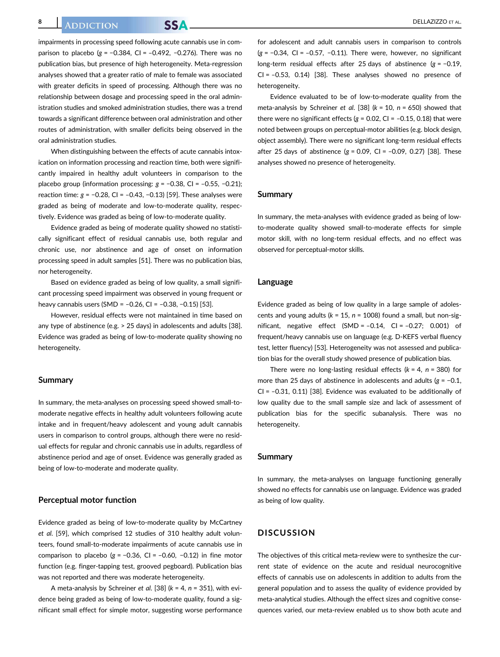impairments in processing speed following acute cannabis use in comparison to placebo (g =  $-0.384$ , CI =  $-0.492$ ,  $-0.276$ ). There was no publication bias, but presence of high heterogeneity. Meta-regression analyses showed that a greater ratio of male to female was associated with greater deficits in speed of processing. Although there was no relationship between dosage and processing speed in the oral administration studies and smoked administration studies, there was a trend towards a significant difference between oral administration and other routes of administration, with smaller deficits being observed in the oral administration studies.

When distinguishing between the effects of acute cannabis intoxication on information processing and reaction time, both were significantly impaired in healthy adult volunteers in comparison to the placebo group (information processing:  $g = -0.38$ , CI =  $-0.55$ ,  $-0.21$ ); reaction time:  $g = -0.28$ , CI =  $-0.43$ ,  $-0.13$ ) [59]. These analyses were graded as being of moderate and low-to-moderate quality, respectively. Evidence was graded as being of low-to-moderate quality.

Evidence graded as being of moderate quality showed no statistically significant effect of residual cannabis use, both regular and chronic use, nor abstinence and age of onset on information processing speed in adult samples [51]. There was no publication bias, nor heterogeneity.

Based on evidence graded as being of low quality, a small significant processing speed impairment was observed in young frequent or heavy cannabis users (SMD = -0.26, CI = -0.38, -0.15) [53].

However, residual effects were not maintained in time based on any type of abstinence (e.g. > 25 days) in adolescents and adults [38]. Evidence was graded as being of low-to-moderate quality showing no heterogeneity.

#### Summary

In summary, the meta-analyses on processing speed showed small-tomoderate negative effects in healthy adult volunteers following acute intake and in frequent/heavy adolescent and young adult cannabis users in comparison to control groups, although there were no residual effects for regular and chronic cannabis use in adults, regardless of abstinence period and age of onset. Evidence was generally graded as being of low-to-moderate and moderate quality.

# Perceptual motor function

Evidence graded as being of low-to-moderate quality by McCartney et al. [59], which comprised 12 studies of 310 healthy adult volunteers, found small-to-moderate impairments of acute cannabis use in comparison to placebo  $(g = -0.36, Cl = -0.60, -0.12)$  in fine motor function (e.g. finger-tapping test, grooved pegboard). Publication bias was not reported and there was moderate heterogeneity.

A meta-analysis by Schreiner et al. [38] ( $k = 4$ ,  $n = 351$ ), with evidence being graded as being of low-to-moderate quality, found a significant small effect for simple motor, suggesting worse performance

for adolescent and adult cannabis users in comparison to controls  $(g = -0.34, C = -0.57, -0.11)$ . There were, however, no significant long-term residual effects after 25 days of abstinence (g = −0.19,  $CI = -0.53$ ,  $0.14$ ) [38]. These analyses showed no presence of heterogeneity.

Evidence evaluated to be of low-to-moderate quality from the meta-analysis by Schreiner et al. [38] ( $k = 10$ ,  $n = 650$ ) showed that there were no significant effects ( $g = 0.02$ , CI = -0.15, 0.18) that were noted between groups on perceptual-motor abilities (e.g. block design, object assembly). There were no significant long-term residual effects after 25 days of abstinence  $(g = 0.09, C1 = -0.09, 0.27)$  [38]. These analyses showed no presence of heterogeneity.

#### Summary

In summary, the meta-analyses with evidence graded as being of lowto-moderate quality showed small-to-moderate effects for simple motor skill, with no long-term residual effects, and no effect was observed for perceptual-motor skills.

#### Language

Evidence graded as being of low quality in a large sample of adolescents and young adults ( $k = 15$ ,  $n = 1008$ ) found a small, but non-significant, negative effect  $(SMD = -0.14, Cl = -0.27; 0.001)$  of frequent/heavy cannabis use on language (e.g. D-KEFS verbal fluency test, letter fluency) [53]. Heterogeneity was not assessed and publication bias for the overall study showed presence of publication bias.

There were no long-lasting residual effects ( $k = 4$ ,  $n = 380$ ) for more than 25 days of abstinence in adolescents and adults (g = −0.1, CI =  $-0.31$ , 0.11) [38]. Evidence was evaluated to be additionally of low quality due to the small sample size and lack of assessment of publication bias for the specific subanalysis. There was no heterogeneity.

#### Summary

In summary, the meta-analyses on language functioning generally showed no effects for cannabis use on language. Evidence was graded as being of low quality.

# **DISCUSSION**

The objectives of this critical meta-review were to synthesize the current state of evidence on the acute and residual neurocognitive effects of cannabis use on adolescents in addition to adults from the general population and to assess the quality of evidence provided by meta-analytical studies. Although the effect sizes and cognitive consequences varied, our meta-review enabled us to show both acute and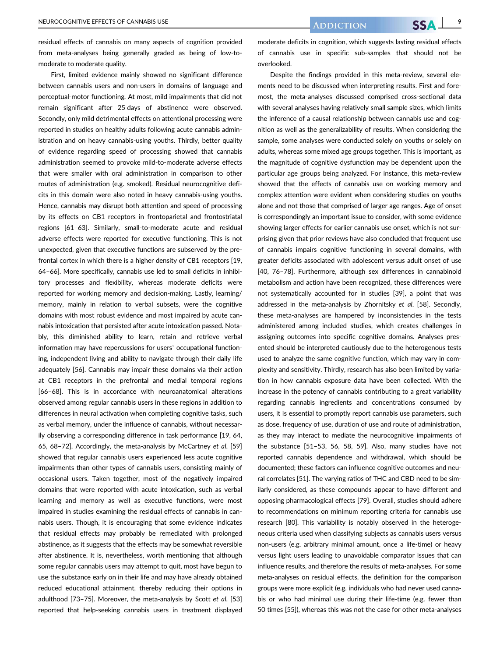residual effects of cannabis on many aspects of cognition provided from meta-analyses being generally graded as being of low-tomoderate to moderate quality.

First, limited evidence mainly showed no significant difference between cannabis users and non-users in domains of language and perceptual-motor functioning. At most, mild impairments that did not remain significant after 25 days of abstinence were observed. Secondly, only mild detrimental effects on attentional processing were reported in studies on healthy adults following acute cannabis administration and on heavy cannabis-using youths. Thirdly, better quality of evidence regarding speed of processing showed that cannabis administration seemed to provoke mild-to-moderate adverse effects that were smaller with oral administration in comparison to other routes of administration (e.g. smoked). Residual neurocognitive deficits in this domain were also noted in heavy cannabis-using youths. Hence, cannabis may disrupt both attention and speed of processing by its effects on CB1 receptors in frontoparietal and frontostriatal regions [61–63]. Similarly, small-to-moderate acute and residual adverse effects were reported for executive functioning. This is not unexpected, given that executive functions are subserved by the prefrontal cortex in which there is a higher density of CB1 receptors [19, 64–66]. More specifically, cannabis use led to small deficits in inhibitory processes and flexibility, whereas moderate deficits were reported for working memory and decision-making. Lastly, learning/ memory, mainly in relation to verbal subsets, were the cognitive domains with most robust evidence and most impaired by acute cannabis intoxication that persisted after acute intoxication passed. Notably, this diminished ability to learn, retain and retrieve verbal information may have repercussions for users' occupational functioning, independent living and ability to navigate through their daily life adequately [56]. Cannabis may impair these domains via their action at CB1 receptors in the prefrontal and medial temporal regions [66–68]. This is in accordance with neuroanatomical alterations observed among regular cannabis users in these regions in addition to differences in neural activation when completing cognitive tasks, such as verbal memory, under the influence of cannabis, without necessarily observing a corresponding difference in task performance [19, 64, 65, 68–72]. Accordingly, the meta-analysis by McCartney et al. [59] showed that regular cannabis users experienced less acute cognitive impairments than other types of cannabis users, consisting mainly of occasional users. Taken together, most of the negatively impaired domains that were reported with acute intoxication, such as verbal learning and memory as well as executive functions, were most impaired in studies examining the residual effects of cannabis in cannabis users. Though, it is encouraging that some evidence indicates that residual effects may probably be remediated with prolonged abstinence, as it suggests that the effects may be somewhat reversible after abstinence. It is, nevertheless, worth mentioning that although some regular cannabis users may attempt to quit, most have begun to use the substance early on in their life and may have already obtained reduced educational attainment, thereby reducing their options in adulthood [73-75]. Moreover, the meta-analysis by Scott et al. [53] reported that help-seeking cannabis users in treatment displayed

moderate deficits in cognition, which suggests lasting residual effects of cannabis use in specific sub-samples that should not be overlooked.

Despite the findings provided in this meta-review, several elements need to be discussed when interpreting results. First and foremost, the meta-analyses discussed comprised cross-sectional data with several analyses having relatively small sample sizes, which limits the inference of a causal relationship between cannabis use and cognition as well as the generalizability of results. When considering the sample, some analyses were conducted solely on youths or solely on adults, whereas some mixed age groups together. This is important, as the magnitude of cognitive dysfunction may be dependent upon the particular age groups being analyzed. For instance, this meta-review showed that the effects of cannabis use on working memory and complex attention were evident when considering studies on youths alone and not those that comprised of larger age ranges. Age of onset is correspondingly an important issue to consider, with some evidence showing larger effects for earlier cannabis use onset, which is not surprising given that prior reviews have also concluded that frequent use of cannabis impairs cognitive functioning in several domains, with greater deficits associated with adolescent versus adult onset of use [40, 76–78]. Furthermore, although sex differences in cannabinoid metabolism and action have been recognized, these differences were not systematically accounted for in studies [39], a point that was addressed in the meta-analysis by Zhornitsky et al. [58]. Secondly, these meta-analyses are hampered by inconsistencies in the tests administered among included studies, which creates challenges in assigning outcomes into specific cognitive domains. Analyses presented should be interpreted cautiously due to the heterogenous tests used to analyze the same cognitive function, which may vary in complexity and sensitivity. Thirdly, research has also been limited by variation in how cannabis exposure data have been collected. With the increase in the potency of cannabis contributing to a great variability regarding cannabis ingredients and concentrations consumed by users, it is essential to promptly report cannabis use parameters, such as dose, frequency of use, duration of use and route of administration, as they may interact to mediate the neurocognitive impairments of the substance [51–53, 56, 58, 59]. Also, many studies have not reported cannabis dependence and withdrawal, which should be documented; these factors can influence cognitive outcomes and neural correlates [51]. The varying ratios of THC and CBD need to be similarly considered, as these compounds appear to have different and opposing pharmacological effects [79]. Overall, studies should adhere to recommendations on minimum reporting criteria for cannabis use research [80]. This variability is notably observed in the heterogeneous criteria used when classifying subjects as cannabis users versus non-users (e.g. arbitrary minimal amount, once a life-time) or heavy versus light users leading to unavoidable comparator issues that can influence results, and therefore the results of meta-analyses. For some meta-analyses on residual effects, the definition for the comparison groups were more explicit (e.g. individuals who had never used cannabis or who had minimal use during their life-time (e.g. fewer than 50 times [55]), whereas this was not the case for other meta-analyses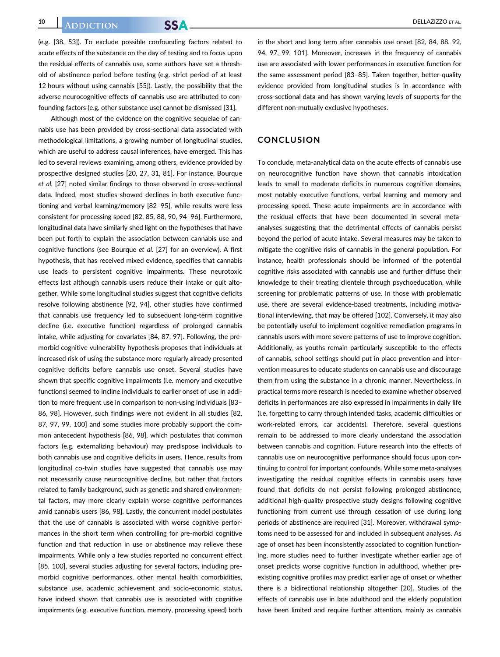(e.g. [38, 53]). To exclude possible confounding factors related to acute effects of the substance on the day of testing and to focus upon the residual effects of cannabis use, some authors have set a threshold of abstinence period before testing (e.g. strict period of at least 12 hours without using cannabis [55]). Lastly, the possibility that the adverse neurocognitive effects of cannabis use are attributed to confounding factors (e.g. other substance use) cannot be dismissed [31].

Although most of the evidence on the cognitive sequelae of cannabis use has been provided by cross-sectional data associated with methodological limitations, a growing number of longitudinal studies, which are useful to address causal inferences, have emerged. This has led to several reviews examining, among others, evidence provided by prospective designed studies [20, 27, 31, 81]. For instance, Bourque et al. [27] noted similar findings to those observed in cross-sectional data. Indeed, most studies showed declines in both executive functioning and verbal learning/memory [82–95], while results were less consistent for processing speed [82, 85, 88, 90, 94–96]. Furthermore, longitudinal data have similarly shed light on the hypotheses that have been put forth to explain the association between cannabis use and cognitive functions (see Bourque et al. [27] for an overview). A first hypothesis, that has received mixed evidence, specifies that cannabis use leads to persistent cognitive impairments. These neurotoxic effects last although cannabis users reduce their intake or quit altogether. While some longitudinal studies suggest that cognitive deficits resolve following abstinence [92, 94], other studies have confirmed that cannabis use frequency led to subsequent long-term cognitive decline (i.e. executive function) regardless of prolonged cannabis intake, while adjusting for covariates [84, 87, 97]. Following, the premorbid cognitive vulnerability hypothesis proposes that individuals at increased risk of using the substance more regularly already presented cognitive deficits before cannabis use onset. Several studies have shown that specific cognitive impairments (i.e. memory and executive functions) seemed to incline individuals to earlier onset of use in addition to more frequent use in comparison to non-using individuals [83– 86, 98]. However, such findings were not evident in all studies [82, 87, 97, 99, 100] and some studies more probably support the common antecedent hypothesis [86, 98], which postulates that common factors (e.g. externalizing behaviour) may predispose individuals to both cannabis use and cognitive deficits in users. Hence, results from longitudinal co-twin studies have suggested that cannabis use may not necessarily cause neurocognitive decline, but rather that factors related to family background, such as genetic and shared environmental factors, may more clearly explain worse cognitive performances amid cannabis users [86, 98]. Lastly, the concurrent model postulates that the use of cannabis is associated with worse cognitive performances in the short term when controlling for pre-morbid cognitive function and that reduction in use or abstinence may relieve these impairments. While only a few studies reported no concurrent effect [85, 100], several studies adjusting for several factors, including premorbid cognitive performances, other mental health comorbidities, substance use, academic achievement and socio-economic status, have indeed shown that cannabis use is associated with cognitive impairments (e.g. executive function, memory, processing speed) both

in the short and long term after cannabis use onset [82, 84, 88, 92, 94, 97, 99, 101]. Moreover, increases in the frequency of cannabis use are associated with lower performances in executive function for the same assessment period [83–85]. Taken together, better-quality evidence provided from longitudinal studies is in accordance with cross-sectional data and has shown varying levels of supports for the different non-mutually exclusive hypotheses.

# **CONCLUSION**

To conclude, meta-analytical data on the acute effects of cannabis use on neurocognitive function have shown that cannabis intoxication leads to small to moderate deficits in numerous cognitive domains, most notably executive functions, verbal learning and memory and processing speed. These acute impairments are in accordance with the residual effects that have been documented in several metaanalyses suggesting that the detrimental effects of cannabis persist beyond the period of acute intake. Several measures may be taken to mitigate the cognitive risks of cannabis in the general population. For instance, health professionals should be informed of the potential cognitive risks associated with cannabis use and further diffuse their knowledge to their treating clientele through psychoeducation, while screening for problematic patterns of use. In those with problematic use, there are several evidence-based treatments, including motivational interviewing, that may be offered [102]. Conversely, it may also be potentially useful to implement cognitive remediation programs in cannabis users with more severe patterns of use to improve cognition. Additionally, as youths remain particularly susceptible to the effects of cannabis, school settings should put in place prevention and intervention measures to educate students on cannabis use and discourage them from using the substance in a chronic manner. Nevertheless, in practical terms more research is needed to examine whether observed deficits in performances are also expressed in impairments in daily life (i.e. forgetting to carry through intended tasks, academic difficulties or work-related errors, car accidents). Therefore, several questions remain to be addressed to more clearly understand the association between cannabis and cognition. Future research into the effects of cannabis use on neurocognitive performance should focus upon continuing to control for important confounds. While some meta-analyses investigating the residual cognitive effects in cannabis users have found that deficits do not persist following prolonged abstinence, additional high-quality prospective study designs following cognitive functioning from current use through cessation of use during long periods of abstinence are required [31]. Moreover, withdrawal symptoms need to be assessed for and included in subsequent analyses. As age of onset has been inconsistently associated to cognition functioning, more studies need to further investigate whether earlier age of onset predicts worse cognitive function in adulthood, whether preexisting cognitive profiles may predict earlier age of onset or whether there is a bidirectional relationship altogether [20]. Studies of the effects of cannabis use in late adulthood and the elderly population have been limited and require further attention, mainly as cannabis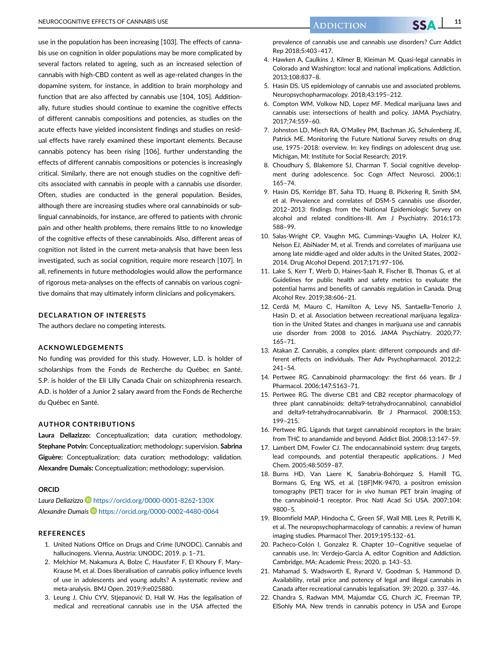use in the population has been increasing [103]. The effects of cannabis use on cognition in older populations may be more complicated by several factors related to ageing, such as an increased selection of cannabis with high-CBD content as well as age-related changes in the dopamine system, for instance, in addition to brain morphology and function that are also affected by cannabis use [104, 105]. Additionally, future studies should continue to examine the cognitive effects of different cannabis compositions and potencies, as studies on the acute effects have yielded inconsistent findings and studies on residual effects have rarely examined these important elements. Because cannabis potency has been rising [106], further understanding the effects of different cannabis compositions or potencies is increasingly critical. Similarly, there are not enough studies on the cognitive deficits associated with cannabis in people with a cannabis use disorder. Often, studies are conducted in the general population. Besides, although there are increasing studies where oral cannabinoids or sublingual cannabinoids, for instance, are offered to patients with chronic pain and other health problems, there remains little to no knowledge of the cognitive effects of these cannabinoids. Also, different areas of cognition not listed in the current meta-analysis that have been less investigated, such as social cognition, require more research [107]. In all, refinements in future methodologies would allow the performance of rigorous meta-analyses on the effects of cannabis on various cognitive domains that may ultimately inform clinicians and policymakers.

# DECLARATION OF INTERESTS

The authors declare no competing interests.

#### ACKNOWLEDGEMENTS

No funding was provided for this study. However, L.D. is holder of scholarships from the Fonds de Recherche du Québec en Santé. S.P. is holder of the Eli Lilly Canada Chair on schizophrenia research. A.D. is holder of a Junior 2 salary award from the Fonds de Recherche du Québec en Santé.

#### AUTHOR CONTRIBUTIONS

Laura Dellazizzo: Conceptualization; data curation; methodology. Stephane Potvin: Conceptualization; methodology; supervision. Sabrina Giguère: Conceptualization; data curation; methodology; validation. Alexandre Dumais: Conceptualization; methodology; supervision.

#### ORCID

Laura Dellazizzo D https://orcid.org/0000-0001-8262-130X Alexandre Dumais https://orcid.org/0000-0002-4480-0064

#### REFERENCES

- 1. United Nations Office on Drugs and Crime (UNODC). Cannabis and hallucinogens. Vienna, Austria: UNODC; 2019. p. 1-71.
- 2. Melchior M, Nakamura A, Bolze C, Hausfater F, El Khoury F, Mary-Krause M, et al. Does liberalisation of cannabis policy influence levels of use in adolescents and young adults? A systematic review and meta-analysis. BMJ Open. 2019;9:e025880.
- 3. Leung J, Chiu CYV, Stjepanovic D, Hall W. Has the legalisation of medical and recreational cannabis use in the USA affected the

prevalence of cannabis use and cannabis use disorders? Curr Addict Rep 2018;5:403–417.

- 4. Hawken A, Caulkins J, Kilmer B, Kleiman M. Quasi-legal cannabis in Colorado and Washington: local and national implications. Addiction. 2013;108:837–8.
- 5. Hasin DS. US epidemiology of cannabis use and associated problems. Neuropsychopharmacology. 2018;43:195–212.
- 6. Compton WM, Volkow ND, Lopez MF. Medical marijuana laws and cannabis use: intersections of health and policy. JAMA Psychiatry. 2017;74:559–60.
- 7. Johnston LD, Miech RA, O'Malley PM, Bachman JG, Schulenberg JE, Patrick ME. Monitoring the Future National Survey results on drug use, 1975–2018: overview. In: key findings on adolescent drug use. Michigan, MI: Institute for Social Research; 2019.
- 8. Choudhury S, Blakemore SJ, Charman T. Social cognitive development during adolescence. Soc Cogn Affect Neurosci. 2006;1: 165–74.
- 9. Hasin DS, Kerridge BT, Saha TD, Huang B, Pickering R, Smith SM, et al. Prevalence and correlates of DSM-5 cannabis use disorder, 2012–2013: findings from the National Epidemiologic Survey on alcohol and related conditions-III. Am J Psychiatry. 2016;173: 588–99.
- 10. Salas-Wright CP, Vaughn MG, Cummings-Vaughn LA, Holzer KJ, Nelson EJ, AbiNader M, et al. Trends and correlates of marijuana use among late middle-aged and older adults in the United States, 2002– 2014. Drug Alcohol Depend. 2017;171:97–106.
- 11. Lake S, Kerr T, Werb D, Haines-Saah R, Fischer B, Thomas G, et al. Guidelines for public health and safety metrics to evaluate the potential harms and benefits of cannabis regulation in Canada. Drug Alcohol Rev. 2019;38:606–21.
- 12. Cerdá M, Mauro C, Hamilton A, Levy NS, Santaella-Tenorio J, Hasin D, et al. Association between recreational marijuana legalization in the United States and changes in marijuana use and cannabis use disorder from 2008 to 2016. JAMA Psychiatry. 2020;77: 165–71.
- 13. Atakan Z. Cannabis, a complex plant: different compounds and different effects on individuals. Ther Adv Psychopharmacol. 2012;2: 241–54.
- 14. Pertwee RG. Cannabinoid pharmacology: the first 66 years. Br J Pharmacol. 2006;147:S163–71.
- 15. Pertwee RG. The diverse CB1 and CB2 receptor pharmacology of three plant cannabinoids: delta9-tetrahydrocannabinol, cannabidiol and delta9-tetrahydrocannabivarin. Br J Pharmacol. 2008;153: 199–215.
- 16. Pertwee RG. Ligands that target cannabinoid receptors in the brain: from THC to anandamide and beyond. Addict Biol. 2008;13:147–59.
- 17. Lambert DM, Fowler CJ. The endocannabinoid system: drug targets, lead compounds, and potential therapeutic applications. J Med Chem. 2005;48:5059–87.
- 18. Burns HD, Van Laere K, Sanabria-Bohórquez S, Hamill TG, Bormans G, Eng WS, et al. [18F]MK-9470, a positron emission tomography (PET) tracer for in vivo human PET brain imaging of the cannabinoid-1 receptor. Proc Natl Acad Sci USA. 2007;104: 9800–5.
- 19. Bloomfield MAP, Hindocha C, Green SF, Wall MB, Lees R, Petrilli K, et al. The neuropsychopharmacology of cannabis: a review of human imaging studies. Pharmacol Ther. 2019;195:132–61.
- 20. Pacheco-Colón I, Gonzalez R. Chapter 10-Cognitive sequelae of cannabis use. In: Verdejo-Garcia A, editor Cognition and Addiction. Cambridge, MA: Academic Press; 2020. p. 143–53.
- 21. Mahamad S, Wadsworth E, Rynard V, Goodman S, Hammond D. Availability, retail price and potency of legal and illegal cannabis in Canada after recreational cannabis legalisation. 39; 2020. p. 337–46.
- 22. Chandra S, Radwan MM, Majumdar CG, Church JC, Freeman TP, ElSohly MA. New trends in cannabis potency in USA and Europe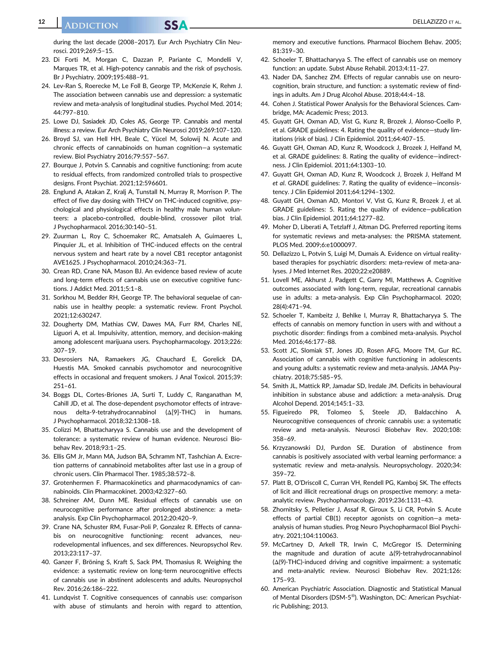# **12 DELLAZIZZO ET AL.**

during the last decade (2008–2017). Eur Arch Psychiatry Clin Neurosci. 2019;269:5–15.

- 23. Di Forti M, Morgan C, Dazzan P, Pariante C, Mondelli V, Marques TR, et al. High-potency cannabis and the risk of psychosis. Br J Psychiatry. 2009;195:488–91.
- 24. Lev-Ran S, Roerecke M, Le Foll B, George TP, McKenzie K, Rehm J. The association between cannabis use and depression: a systematic review and meta-analysis of longitudinal studies. Psychol Med. 2014; 44:797–810.
- 25. Lowe DJ, Sasiadek JD, Coles AS, George TP. Cannabis and mental illness: a review. Eur Arch Psychiatry Clin Neurosci 2019;269:107–120.
- 26. Broyd SJ, van Hell HH, Beale C, Yücel M, Solowij N. Acute and chronic effects of cannabinoids on human cognition—a systematic review. Biol Psychiatry 2016;79:557–567.
- 27. Bourque J, Potvin S. Cannabis and cognitive functioning: from acute to residual effects, from randomized controlled trials to prospective designs. Front Psychiat. 2021;12:596601.
- 28. Englund A, Atakan Z, Kralj A, Tunstall N, Murray R, Morrison P. The effect of five day dosing with THCV on THC-induced cognitive, psychological and physiological effects in healthy male human volunteers: a placebo-controlled, double-blind, crossover pilot trial. J Psychopharmacol. 2016;30:140–51.
- 29. Zuurman L, Roy C, Schoemaker RC, Amatsaleh A, Guimaeres L, Pinquier JL, et al. Inhibition of THC-induced effects on the central nervous system and heart rate by a novel CB1 receptor antagonist AVE1625. J Psychopharmacol. 2010;24:363–71.
- 30. Crean RD, Crane NA, Mason BJ. An evidence based review of acute and long-term effects of cannabis use on executive cognitive functions. J Addict Med. 2011;5:1–8.
- 31. Sorkhou M, Bedder RH, George TP. The behavioral sequelae of cannabis use in healthy people: a systematic review. Front Psychol. 2021;12:630247.
- 32. Dougherty DM, Mathias CW, Dawes MA, Furr RM, Charles NE, Liguori A, et al. Impulsivity, attention, memory, and decision-making among adolescent marijuana users. Psychopharmacology. 2013;226: 307–19.
- 33. Desrosiers NA, Ramaekers JG, Chauchard E, Gorelick DA, Huestis MA. Smoked cannabis psychomotor and neurocognitive effects in occasional and frequent smokers. J Anal Toxicol. 2015;39: 251–61.
- 34. Boggs DL, Cortes-Briones JA, Surti T, Luddy C, Ranganathan M, Cahill JD, et al. The dose-dependent psychomotor effects of intravenous delta-9-tetrahydrocannabinol (Δ[9]-THC) in humans. J Psychopharmacol. 2018;32:1308–18.
- 35. Colizzi M, Bhattacharyya S. Cannabis use and the development of tolerance: a systematic review of human evidence. Neurosci Biobehav Rev. 2018;93:1–25.
- 36. Ellis GM Jr, Mann MA, Judson BA, Schramm NT, Tashchian A. Excretion patterns of cannabinoid metabolites after last use in a group of chronic users. Clin Pharmacol Ther. 1985;38:572–8.
- 37. Grotenhermen F. Pharmacokinetics and pharmacodynamics of cannabinoids. Clin Pharmacokinet. 2003;42:327–60.
- 38. Schreiner AM, Dunn ME. Residual effects of cannabis use on neurocognitive performance after prolonged abstinence: a metaanalysis. Exp Clin Psychopharmacol. 2012;20:420–9.
- 39. Crane NA, Schuster RM, Fusar-Poli P, Gonzalez R. Effects of cannabis on neurocognitive functioning: recent advances, neurodevelopmental influences, and sex differences. Neuropsychol Rev. 2013;23:117–37.
- 40. Ganzer F, Bröning S, Kraft S, Sack PM, Thomasius R. Weighing the evidence: a systematic review on long-term neurocognitive effects of cannabis use in abstinent adolescents and adults. Neuropsychol Rev. 2016;26:186–222.
- 41. Lundqvist T. Cognitive consequences of cannabis use: comparison with abuse of stimulants and heroin with regard to attention,

memory and executive functions. Pharmacol Biochem Behav. 2005; 81:319–30.

- 42. Schoeler T, Bhattacharyya S. The effect of cannabis use on memory function: an update. Subst Abuse Rehabil. 2013;4:11–27.
- 43. Nader DA, Sanchez ZM. Effects of regular cannabis use on neurocognition, brain structure, and function: a systematic review of findings in adults. Am J Drug Alcohol Abuse. 2018;44:4–18.
- 44. Cohen J. Statistical Power Analysis for the Behavioral Sciences. Cambridge, MA: Academic Press; 2013.
- 45. Guyatt GH, Oxman AD, Vist G, Kunz R, Brozek J, Alonso-Coello P, et al. GRADE guidelines: 4. Rating the quality of evidence—study limitations (risk of bias). J Clin Epidemiol. 2011;64:407–15.
- 46. Guyatt GH, Oxman AD, Kunz R, Woodcock J, Brozek J, Helfand M, et al. GRADE guidelines: 8. Rating the quality of evidence—indirectness. J Clin Epidemiol. 2011;64:1303–10.
- 47. Guyatt GH, Oxman AD, Kunz R, Woodcock J, Brozek J, Helfand M et al. GRADE guidelines: 7. Rating the quality of evidence—inconsistency. J Clin Epidemiol 2011;64:1294–1302.
- 48. Guyatt GH, Oxman AD, Montori V, Vist G, Kunz R, Brozek J, et al. GRADE guidelines: 5. Rating the quality of evidence—publication bias. J Clin Epidemiol. 2011;64:1277–82.
- 49. Moher D, Liberati A, Tetzlaff J, Altman DG. Preferred reporting items for systematic reviews and meta-analyses: the PRISMA statement. PLOS Med. 2009;6:e1000097.
- 50. Dellazizzo L, Potvin S, Luigi M, Dumais A. Evidence on virtual realitybased therapies for psychiatric disorders: meta-review of meta-analyses. J Med Internet Res. 2020;22:e20889.
- 51. Lovell ME, Akhurst J, Padgett C, Garry MI, Matthews A. Cognitive outcomes associated with long-term, regular, recreational cannabis use in adults: a meta-analysis. Exp Clin Psychopharmacol. 2020; 28(4):471–94.
- 52. Schoeler T, Kambeitz J, Behlke I, Murray R, Bhattacharyya S. The effects of cannabis on memory function in users with and without a psychotic disorder: findings from a combined meta-analysis. Psychol Med. 2016;46:177–88.
- 53. Scott JC, Slomiak ST, Jones JD, Rosen AFG, Moore TM, Gur RC. Association of cannabis with cognitive functioning in adolescents and young adults: a systematic review and meta-analysis. JAMA Psychiatry. 2018;75:585–95.
- 54. Smith JL, Mattick RP, Jamadar SD, Iredale JM. Deficits in behavioural inhibition in substance abuse and addiction: a meta-analysis. Drug Alcohol Depend. 2014;145:1–33.
- 55. Figueiredo PR, Tolomeo S, Steele JD, Baldacchino A. Neurocognitive consequences of chronic cannabis use: a systematic review and meta-analysis. Neurosci Biobehav Rev. 2020;108: 358–69.
- 56. Krzyzanowski DJ, Purdon SE. Duration of abstinence from cannabis is positively associated with verbal learning performance: a systematic review and meta-analysis. Neuropsychology. 2020;34: 359–72.
- 57. Platt B, O'Driscoll C, Curran VH, Rendell PG, Kamboj SK. The effects of licit and illicit recreational drugs on prospective memory: a metaanalytic review. Psychopharmacology. 2019;236:1131–43.
- 58. Zhornitsky S, Pelletier J, Assaf R, Giroux S, Li CR, Potvin S. Acute effects of partial CB(1) receptor agonists on cognition—a metaanalysis of human studies. Prog Neuro Psychopharmacol Biol Psychiatry. 2021;104:110063.
- 59. McCartney D, Arkell TR, Irwin C, McGregor IS. Determining the magnitude and duration of acute Δ(9)-tetrahydrocannabinol (Δ(9)-THC)-induced driving and cognitive impairment: a systematic and meta-analytic review. Neurosci Biobehav Rev. 2021;126: 175–93.
- 60. American Psychiatric Association. Diagnostic and Statistical Manual of Mental Disorders (DSM-5<sup>®</sup>). Washington, DC: American Psychiatric Publishing; 2013.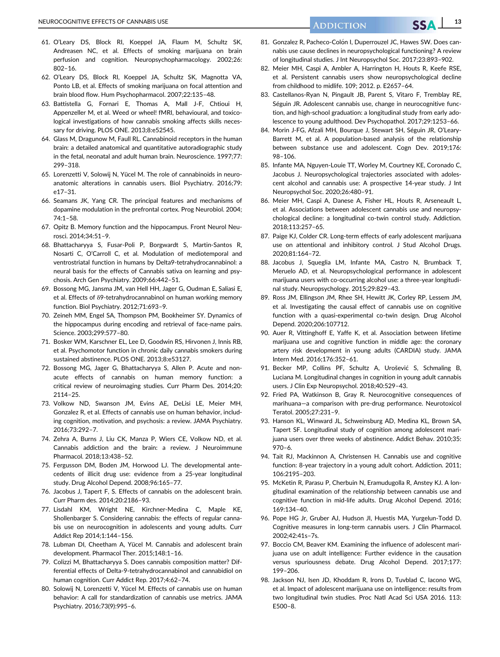- 61. O'Leary DS, Block RI, Koeppel JA, Flaum M, Schultz SK, Andreasen NC, et al. Effects of smoking marijuana on brain perfusion and cognition. Neuropsychopharmacology. 2002;26: 802–16.
- 62. O'Leary DS, Block RI, Koeppel JA, Schultz SK, Magnotta VA, Ponto LB, et al. Effects of smoking marijuana on focal attention and brain blood flow. Hum Psychopharmacol. 2007;22:135–48.
- 63. Battistella G, Fornari E, Thomas A, Mall J-F, Chtioui H, Appenzeller M, et al. Weed or wheel! fMRI, behavioural, and toxicological investigations of how cannabis smoking affects skills necessary for driving. PLOS ONE. 2013;8:e52545.
- 64. Glass M, Dragunow M, Faull RL. Cannabinoid receptors in the human brain: a detailed anatomical and quantitative autoradiographic study in the fetal, neonatal and adult human brain. Neuroscience. 1997;77: 299–318.
- 65. Lorenzetti V, Solowij N, Yücel M. The role of cannabinoids in neuroanatomic alterations in cannabis users. Biol Psychiatry. 2016;79: e17–31.
- 66. Seamans JK, Yang CR. The principal features and mechanisms of dopamine modulation in the prefrontal cortex. Prog Neurobiol. 2004; 74:1–58.
- 67. Opitz B. Memory function and the hippocampus. Front Neurol Neurosci. 2014;34:51–9.
- 68. Bhattacharyya S, Fusar-Poli P, Borgwardt S, Martin-Santos R, Nosarti C, O'Carroll C, et al. Modulation of mediotemporal and ventrostriatal function in humans by Delta9-tetrahydrocannabinol: a neural basis for the effects of Cannabis sativa on learning and psychosis. Arch Gen Psychiatry. 2009;66:442–51.
- 69. Bossong MG, Jansma JM, van Hell HH, Jager G, Oudman E, Saliasi E, et al. Effects of δ9-tetrahydrocannabinol on human working memory function. Biol Psychiatry. 2012;71:693–9.
- 70. Zeineh MM, Engel SA, Thompson PM, Bookheimer SY. Dynamics of the hippocampus during encoding and retrieval of face-name pairs. Science. 2003;299:577–80.
- 71. Bosker WM, Karschner EL, Lee D, Goodwin RS, Hirvonen J, Innis RB, et al. Psychomotor function in chronic daily cannabis smokers during sustained abstinence. PLOS ONE. 2013;8:e53127.
- 72. Bossong MG, Jager G, Bhattacharyya S, Allen P. Acute and nonacute effects of cannabis on human memory function: a critical review of neuroimaging studies. Curr Pharm Des. 2014;20: 2114–25.
- 73. Volkow ND, Swanson JM, Evins AE, DeLisi LE, Meier MH, Gonzalez R, et al. Effects of cannabis use on human behavior, including cognition, motivation, and psychosis: a review. JAMA Psychiatry. 2016;73:292–7.
- 74. Zehra A, Burns J, Liu CK, Manza P, Wiers CE, Volkow ND, et al. Cannabis addiction and the brain: a review. J Neuroimmune Pharmacol. 2018;13:438–52.
- 75. Fergusson DM, Boden JM, Horwood LJ. The developmental antecedents of illicit drug use: evidence from a 25-year longitudinal study. Drug Alcohol Depend. 2008;96:165–77.
- 76. Jacobus J, Tapert F, S. Effects of cannabis on the adolescent brain. Curr Pharm des. 2014;20:2186–93.
- 77. Lisdahl KM, Wright NE, Kirchner-Medina C, Maple KE, Shollenbarger S. Considering cannabis: the effects of regular cannabis use on neurocognition in adolescents and young adults. Curr Addict Rep 2014;1:144–156.
- 78. Lubman DI, Cheetham A, Yücel M. Cannabis and adolescent brain development. Pharmacol Ther. 2015;148:1–16.
- 79. Colizzi M, Bhattacharyya S. Does cannabis composition matter? Differential effects of Delta-9-tetrahydrocannabinol and cannabidiol on human cognition. Curr Addict Rep. 2017;4:62–74.
- 80. Solowij N, Lorenzetti V, Yücel M. Effects of cannabis use on human behavior: A call for standardization of cannabis use metrics. JAMA Psychiatry. 2016;73(9):995–6.
- 81. Gonzalez R, Pacheco-Colón I, Duperrouzel JC, Hawes SW, Does cannabis use cause declines in neuropsychological functioning? A review of longitudinal studies. J Int Neuropsychol Soc. 2017;23:893–902.
- 82. Meier MH, Caspi A, Ambler A, Harrington H, Houts R, Keefe RSE, et al. Persistent cannabis users show neuropsychological decline from childhood to midlife. 109; 2012. p. E2657–64.
- 83. Castellanos-Ryan N, Pingault JB, Parent S, Vitaro F, Tremblay RE, Séguin JR. Adolescent cannabis use, change in neurocognitive function, and high-school graduation: a longitudinal study from early adolescence to young adulthood. Dev Psychopathol. 2017;29:1253–66.
- 84. Morin J-FG, Afzali MH, Bourque J, Stewart SH, Séguin JR, O'Leary-Barrett M, et al. A population-based analysis of the relationship between substance use and adolescent. Cogn Dev. 2019;176: 98–106.
- 85. Infante MA, Nguyen-Louie TT, Worley M, Courtney KE, Coronado C, Jacobus J. Neuropsychological trajectories associated with adolescent alcohol and cannabis use: A prospective 14-year study. J Int Neuropsychol Soc. 2020;26:480–91.
- 86. Meier MH, Caspi A, Danese A, Fisher HL, Houts R, Arseneault L, et al. Associations between adolescent cannabis use and neuropsychological decline: a longitudinal co-twin control study. Addiction. 2018;113:257–65.
- 87. Paige KJ, Colder CR. Long-term effects of early adolescent marijuana use on attentional and inhibitory control. J Stud Alcohol Drugs. 2020;81:164–72.
- 88. Jacobus J, Squeglia LM, Infante MA, Castro N, Brumback T, Meruelo AD, et al. Neuropsychological performance in adolescent marijuana users with co-occurring alcohol use: a three-year longitudinal study. Neuropsychology. 2015;29:829–43.
- 89. Ross JM, Ellingson JM, Rhee SH, Hewitt JK, Corley RP, Lessem JM, et al. Investigating the causal effect of cannabis use on cognitive function with a quasi-experimental co-twin design. Drug Alcohol Depend. 2020;206:107712.
- 90. Auer R, Vittinghoff E, Yaffe K, et al. Association between lifetime marijuana use and cognitive function in middle age: the coronary artery risk development in young adults (CARDIA) study. JAMA Intern Med. 2016;176:352–61.
- 91. Becker MP, Collins PF, Schultz A, Uroševic S, Schmaling B, Luciana M. Longitudinal changes in cognition in young adult cannabis users. J Clin Exp Neuropsychol. 2018;40:529–43.
- 92. Fried PA, Watkinson B, Gray R. Neurocognitive consequences of marihuana—a comparison with pre-drug performance. Neurotoxicol Teratol. 2005;27:231–9.
- 93. Hanson KL, Winward JL, Schweinsburg AD, Medina KL, Brown SA, Tapert SF. Longitudinal study of cognition among adolescent marijuana users over three weeks of abstinence. Addict Behav. 2010;35: 970–6.
- 94. Tait RJ, Mackinnon A, Christensen H. Cannabis use and cognitive function: 8-year trajectory in a young adult cohort. Addiction. 2011; 106:2195–203.
- 95. McKetin R, Parasu P, Cherbuin N, Eramudugolla R, Anstey KJ. A longitudinal examination of the relationship between cannabis use and cognitive function in mid-life adults. Drug Alcohol Depend. 2016; 169:134–40.
- 96. Pope HG Jr, Gruber AJ, Hudson JI, Huestis MA, Yurgelun-Todd D. Cognitive measures in long-term cannabis users. J Clin Pharmacol. 2002;42:41s–7s.
- 97. Boccio CM, Beaver KM. Examining the influence of adolescent marijuana use on adult intelligence: Further evidence in the causation versus spuriousness debate. Drug Alcohol Depend. 2017;177: 199–206.
- 98. Jackson NJ, Isen JD, Khoddam R, Irons D, Tuvblad C, Iacono WG, et al. Impact of adolescent marijuana use on intelligence: results from two longitudinal twin studies. Proc Natl Acad Sci USA 2016. 113: E500–8.